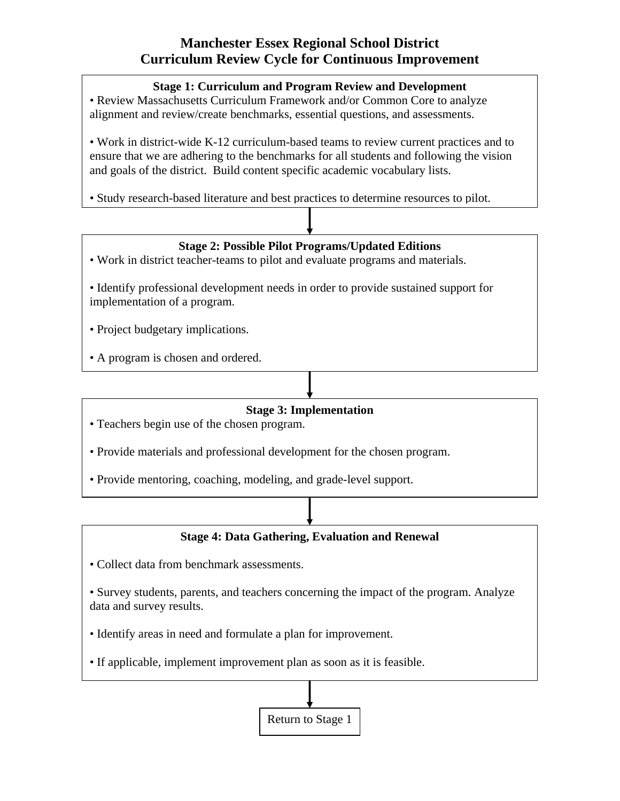## **Manchester Essex Regional School District Curriculum Review Cycle for Continuous Improvement**

#### **Stage 1: Curriculum and Program Review and Development**

• Review Massachusetts Curriculum Framework and/or Common Core to analyze alignment and review/create benchmarks, essential questions, and assessments.

• Work in district-wide K-12 curriculum-based teams to review current practices and to ensure that we are adhering to the benchmarks for all students and following the vision and goals of the district. Build content specific academic vocabulary lists.

• Study research-based literature and best practices to determine resources to pilot.

### **Stage 2: Possible Pilot Programs/Updated Editions**

- Work in district teacher-teams to pilot and evaluate programs and materials.
- Identify professional development needs in order to provide sustained support for implementation of a program.
- Project budgetary implications.
- A program is chosen and ordered.

#### **Stage 3: Implementation**

- Teachers begin use of the chosen program.
- Provide materials and professional development for the chosen program.
- Provide mentoring, coaching, modeling, and grade-level support.

#### **Stage 4: Data Gathering, Evaluation and Renewal**

- Collect data from benchmark assessments.
- Survey students, parents, and teachers concerning the impact of the program. Analyze data and survey results.
- Identify areas in need and formulate a plan for improvement.
- If applicable, implement improvement plan as soon as it is feasible.